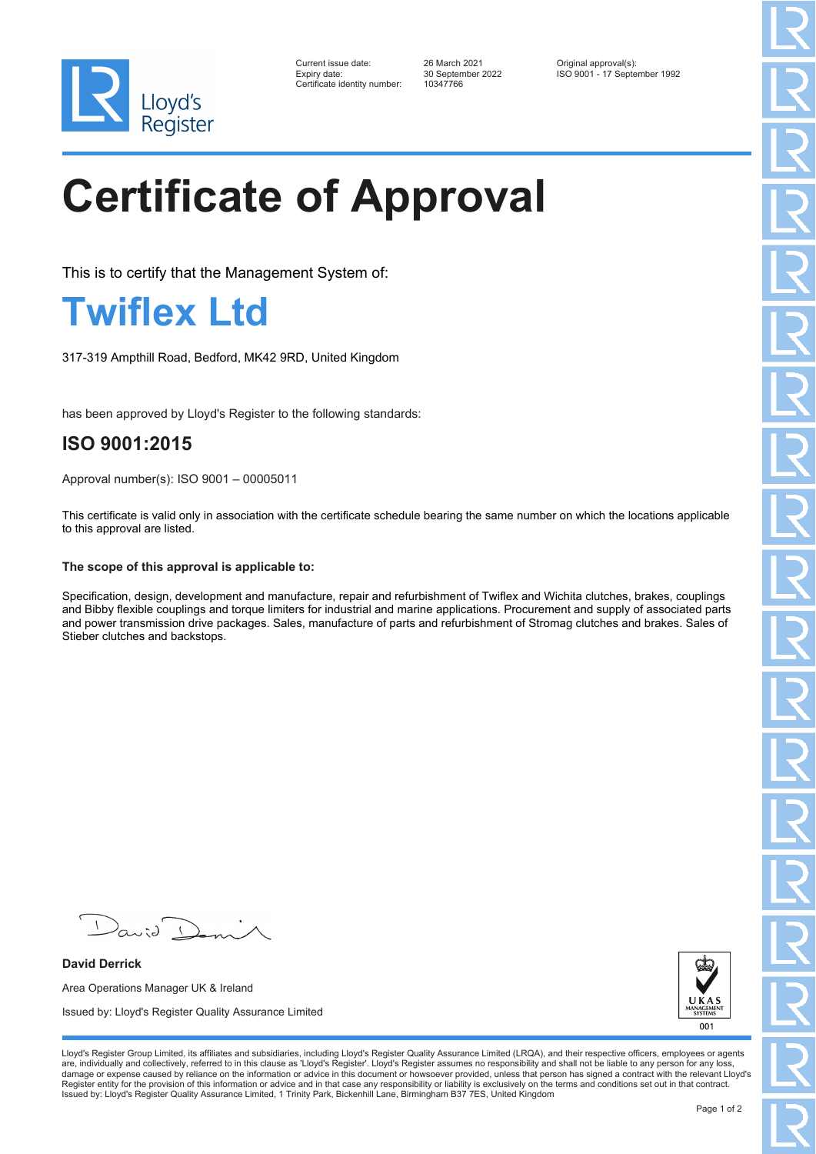

| Current issue date:          |
|------------------------------|
| Expiry date:                 |
| Certificate identitv number: |

Certificate identity number: 10347766

Current issue date: 26 March 2021 Original approval(s): Expiry date: 30 September 2022 ISO 9001 - 17 September 1992

# **Certificate of Approval**

This is to certify that the Management System of:

### **Twiflex Ltd**

317-319 Ampthill Road, Bedford, MK42 9RD, United Kingdom

has been approved by Lloyd's Register to the following standards:

### **ISO 9001:2015**

Approval number(s): ISO 9001 – 00005011

This certificate is valid only in association with the certificate schedule bearing the same number on which the locations applicable to this approval are listed.

#### **The scope of this approval is applicable to:**

Specification, design, development and manufacture, repair and refurbishment of Twiflex and Wichita clutches, brakes, couplings and Bibby flexible couplings and torque limiters for industrial and marine applications. Procurement and supply of associated parts and power transmission drive packages. Sales, manufacture of parts and refurbishment of Stromag clutches and brakes. Sales of Stieber clutches and backstops.

**David Derrick** Area Operations Manager UK & Ireland Issued by: Lloyd's Register Quality Assurance Limited



Lloyd's Register Group Limited, its affiliates and subsidiaries, including Lloyd's Register Quality Assurance Limited (LRQA), and their respective officers, employees or agents are, individually and collectively, referred to in this clause as 'Lloyd's Register'. Lloyd's Register assumes no responsibility and shall not be liable to any person for any loss,<br>damage or expense caused by reliance on t Register entity for the provision of this information or advice and in that case any responsibility or liability is exclusively on the terms and conditions set out in that contract. Issued by: Lloyd's Register Quality Assurance Limited, 1 Trinity Park, Bickenhill Lane, Birmingham B37 7ES, United Kingdom